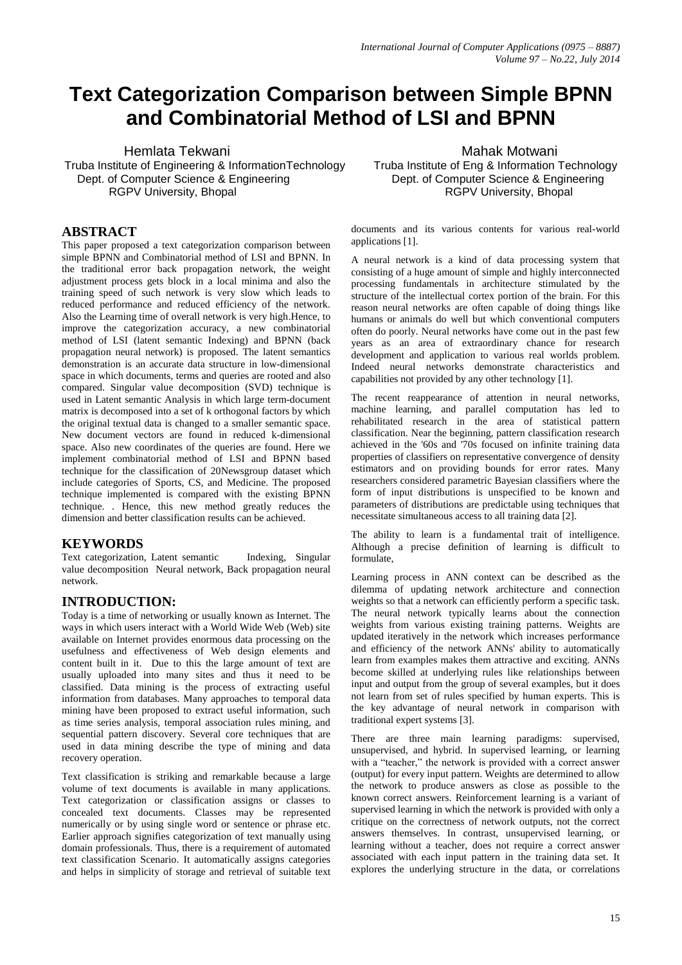# **Text Categorization Comparison between Simple BPNN and Combinatorial Method of LSI and BPNN**

Truba Institute of Engineering & InformationTechnology Truba Institute of Eng & Information Technology Dept. of Computer Science & Engineering Dept. of Computer Science & Engineering RGPV University, Bhopal **RGPV University, Bhopal** RGPV University, Bhopal

## **ABSTRACT**

This paper proposed a text categorization comparison between simple BPNN and Combinatorial method of LSI and BPNN. In the traditional error back propagation network, the weight adjustment process gets block in a local minima and also the training speed of such network is very slow which leads to reduced performance and reduced efficiency of the network. Also the Learning time of overall network is very high.Hence, to improve the categorization accuracy, a new combinatorial method of LSI (latent semantic Indexing) and BPNN (back propagation neural network) is proposed. The latent semantics demonstration is an accurate data structure in low-dimensional space in which documents, terms and queries are rooted and also compared. Singular value decomposition (SVD) technique is used in Latent semantic Analysis in which large term-document matrix is decomposed into a set of k orthogonal factors by which the original textual data is changed to a smaller semantic space. New document vectors are found in reduced k-dimensional space. Also new coordinates of the queries are found. Here we implement combinatorial method of LSI and BPNN based technique for the classification of 20Newsgroup dataset which include categories of Sports, CS, and Medicine. The proposed technique implemented is compared with the existing BPNN technique. . Hence, this new method greatly reduces the dimension and better classification results can be achieved.

### **KEYWORDS**

Text categorization, Latent semantic Indexing, Singular value decomposition Neural network, Back propagation neural network.

## **INTRODUCTION:**

Today is a time of networking or usually known as Internet. The ways in which users interact with a World Wide Web (Web) site available on Internet provides enormous data processing on the usefulness and effectiveness of Web design elements and content built in it. Due to this the large amount of text are usually uploaded into many sites and thus it need to be classified. Data mining is the process of extracting useful information from databases. Many approaches to temporal data mining have been proposed to extract useful information, such as time series analysis, temporal association rules mining, and sequential pattern discovery. Several core techniques that are used in data mining describe the type of mining and data recovery operation.

Text classification is striking and remarkable because a large volume of text documents is available in many applications. Text categorization or classification assigns or classes to concealed text documents. Classes may be represented numerically or by using single word or sentence or phrase etc. Earlier approach signifies categorization of text manually using domain professionals. Thus, there is a requirement of automated text classification Scenario. It automatically assigns categories and helps in simplicity of storage and retrieval of suitable text

Hemlata Tekwani **Mahak Motwani** Mahak Motwani

documents and its various contents for various real-world applications [1].

A neural network is a kind of data processing system that consisting of a huge amount of simple and highly interconnected processing fundamentals in architecture stimulated by the structure of the intellectual cortex portion of the brain. For this reason neural networks are often capable of doing things like humans or animals do well but which conventional computers often do poorly. Neural networks have come out in the past few years as an area of extraordinary chance for research development and application to various real worlds problem. Indeed neural networks demonstrate characteristics and capabilities not provided by any other technology [1].

The recent reappearance of attention in neural networks, machine learning, and parallel computation has led to rehabilitated research in the area of statistical pattern classification. Near the beginning, pattern classification research achieved in the '60s and '70s focused on infinite training data properties of classifiers on representative convergence of density estimators and on providing bounds for error rates. Many researchers considered parametric Bayesian classifiers where the form of input distributions is unspecified to be known and parameters of distributions are predictable using techniques that necessitate simultaneous access to all training data [2].

The ability to learn is a fundamental trait of intelligence. Although a precise definition of learning is difficult to formulate,

Learning process in ANN context can be described as the dilemma of updating network architecture and connection weights so that a network can efficiently perform a specific task. The neural network typically learns about the connection weights from various existing training patterns. Weights are updated iteratively in the network which increases performance and efficiency of the network ANNs' ability to automatically learn from examples makes them attractive and exciting. ANNs become skilled at underlying rules like relationships between input and output from the group of several examples, but it does not learn from set of rules specified by human experts. This is the key advantage of neural network in comparison with traditional expert systems [3].

There are three main learning paradigms: supervised, unsupervised, and hybrid. In supervised learning, or learning with a "teacher," the network is provided with a correct answer (output) for every input pattern. Weights are determined to allow the network to produce answers as close as possible to the known correct answers. Reinforcement learning is a variant of supervised learning in which the network is provided with only a critique on the correctness of network outputs, not the correct answers themselves. In contrast, unsupervised learning, or learning without a teacher, does not require a correct answer associated with each input pattern in the training data set. It explores the underlying structure in the data, or correlations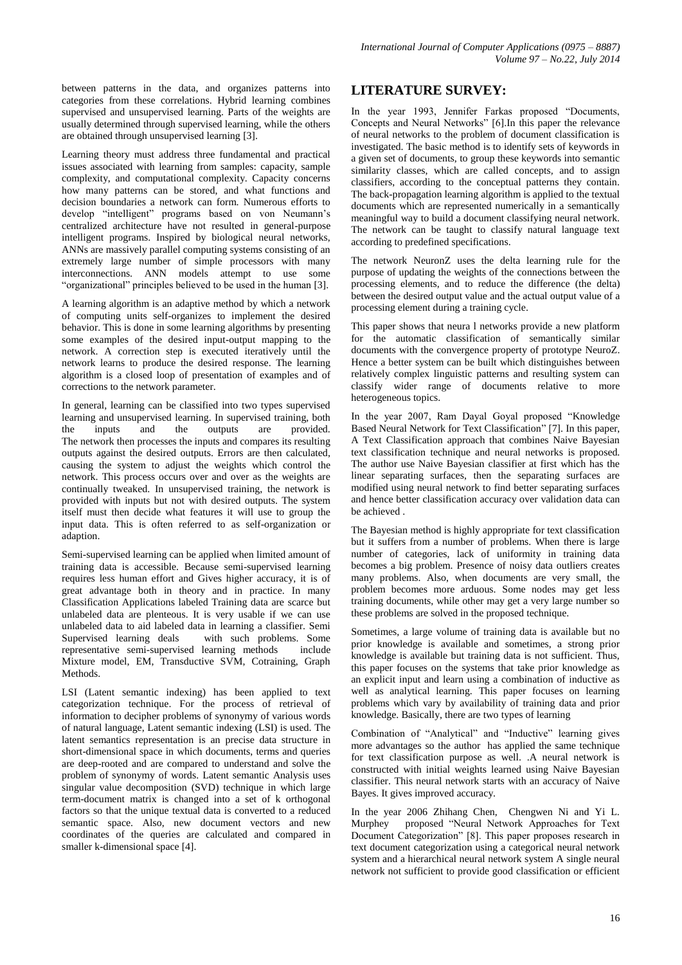between patterns in the data, and organizes patterns into categories from these correlations. Hybrid learning combines supervised and unsupervised learning. Parts of the weights are usually determined through supervised learning, while the others are obtained through unsupervised learning [3].

Learning theory must address three fundamental and practical issues associated with learning from samples: capacity, sample complexity, and computational complexity. Capacity concerns how many patterns can be stored, and what functions and decision boundaries a network can form. Numerous efforts to develop "intelligent" programs based on von Neumann's centralized architecture have not resulted in general-purpose intelligent programs. Inspired by biological neural networks, ANNs are massively parallel computing systems consisting of an extremely large number of simple processors with many interconnections. ANN models attempt to use some "organizational" principles believed to be used in the human [3].

A learning algorithm is an adaptive method by which a network of computing units self-organizes to implement the desired behavior. This is done in some learning algorithms by presenting some examples of the desired input-output mapping to the network. A correction step is executed iteratively until the network learns to produce the desired response. The learning algorithm is a closed loop of presentation of examples and of corrections to the network parameter.

In general, learning can be classified into two types supervised learning and unsupervised learning. In supervised training, both the inputs and the outputs are provided. The network then processes the inputs and compares its resulting outputs against the desired outputs. Errors are then calculated, causing the system to adjust the weights which control the network. This process occurs over and over as the weights are continually tweaked. In unsupervised training, the network is provided with inputs but not with desired outputs. The system itself must then decide what features it will use to group the input data. This is often referred to as self-organization or adaption.

Semi-supervised learning can be applied when limited amount of training data is accessible. Because semi-supervised learning requires less human effort and Gives higher accuracy, it is of great advantage both in theory and in practice. In many Classification Applications labeled Training data are scarce but unlabeled data are plenteous. It is very usable if we can use unlabeled data to aid labeled data in learning a classifier. Semi Supervised learning deals with such problems. Some representative semi-supervised learning methods include Mixture model, EM, Transductive SVM, Cotraining, Graph **Methods** 

LSI (Latent semantic indexing) has been applied to text categorization technique. For the process of retrieval of information to decipher problems of synonymy of various words of natural language, Latent semantic indexing (LSI) is used. The latent semantics representation is an precise data structure in short-dimensional space in which documents, terms and queries are deep-rooted and are compared to understand and solve the problem of synonymy of words. Latent semantic Analysis uses singular value decomposition (SVD) technique in which large term-document matrix is changed into a set of k orthogonal factors so that the unique textual data is converted to a reduced semantic space. Also, new document vectors and new coordinates of the queries are calculated and compared in smaller k-dimensional space [4].

# **LITERATURE SURVEY:**

In the year 1993, Jennifer Farkas proposed "Documents, Concepts and Neural Networks" [6].In this paper the relevance of neural networks to the problem of document classification is investigated. The basic method is to identify sets of keywords in a given set of documents, to group these keywords into semantic similarity classes, which are called concepts*,* and to assign classifiers, according to the conceptual patterns they contain. The back-propagation learning algorithm is applied to the textual documents which are represented numerically in a semantically meaningful way to build a document classifying neural network. The network can be taught to classify natural language text according to predefined specifications.

The network NeuronZ uses the delta learning rule for the purpose of updating the weights of the connections between the processing elements, and to reduce the difference (the delta) between the desired output value and the actual output value of a processing element during a training cycle.

This paper shows that neura l networks provide a new platform for the automatic classification of semantically similar documents with the convergence property of prototype NeuroZ. Hence a better system can be built which distinguishes between relatively complex linguistic patterns and resulting system can classify wider range of documents relative to more heterogeneous topics.

In the year 2007, Ram Dayal Goyal proposed "Knowledge Based Neural Network for Text Classification" [7]. In this paper, A Text Classification approach that combines Naive Bayesian text classification technique and neural networks is proposed. The author use Naive Bayesian classifier at first which has the linear separating surfaces, then the separating surfaces are modified using neural network to find better separating surfaces and hence better classification accuracy over validation data can be achieved .

The Bayesian method is highly appropriate for text classification but it suffers from a number of problems. When there is large number of categories, lack of uniformity in training data becomes a big problem. Presence of noisy data outliers creates many problems. Also, when documents are very small, the problem becomes more arduous. Some nodes may get less training documents, while other may get a very large number so these problems are solved in the proposed technique.

Sometimes, a large volume of training data is available but no prior knowledge is available and sometimes, a strong prior knowledge is available but training data is not sufficient. Thus, this paper focuses on the systems that take prior knowledge as an explicit input and learn using a combination of inductive as well as analytical learning. This paper focuses on learning problems which vary by availability of training data and prior knowledge. Basically, there are two types of learning

Combination of "Analytical" and "Inductive" learning gives more advantages so the author has applied the same technique for text classification purpose as well. .A neural network is constructed with initial weights learned using Naive Bayesian classifier. This neural network starts with an accuracy of Naive Bayes. It gives improved accuracy.

In the year 2006 Zhihang Chen, Chengwen Ni and Yi L. Murphey proposed "Neural Network Approaches for Text Document Categorization" [8]. This paper proposes research in text document categorization using a categorical neural network system and a hierarchical neural network system A single neural network not sufficient to provide good classification or efficient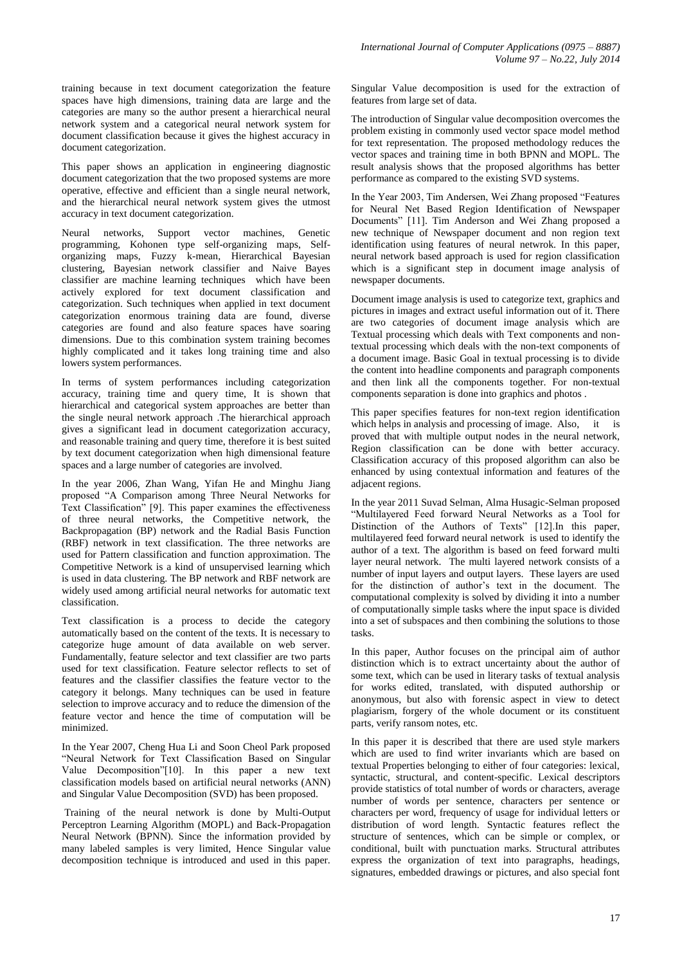training because in text document categorization the feature spaces have high dimensions, training data are large and the categories are many so the author present a hierarchical neural network system and a categorical neural network system for document classification because it gives the highest accuracy in document categorization.

This paper shows an application in engineering diagnostic document categorization that the two proposed systems are more operative, effective and efficient than a single neural network, and the hierarchical neural network system gives the utmost accuracy in text document categorization.

Neural networks, Support vector machines, Genetic programming, Kohonen type self-organizing maps, Selforganizing maps, Fuzzy k-mean, Hierarchical Bayesian clustering, Bayesian network classifier and Naive Bayes classifier are machine learning techniques which have been actively explored for text document classification and categorization. Such techniques when applied in text document categorization enormous training data are found, diverse categories are found and also feature spaces have soaring dimensions. Due to this combination system training becomes highly complicated and it takes long training time and also lowers system performances.

In terms of system performances including categorization accuracy, training time and query time, It is shown that hierarchical and categorical system approaches are better than the single neural network approach .The hierarchical approach gives a significant lead in document categorization accuracy, and reasonable training and query time, therefore it is best suited by text document categorization when high dimensional feature spaces and a large number of categories are involved.

In the year 2006, Zhan Wang, Yifan He and Minghu Jiang proposed "A Comparison among Three Neural Networks for Text Classification" [9]. This paper examines the effectiveness of three neural networks, the Competitive network, the Backpropagation (BP) network and the Radial Basis Function (RBF) network in text classification. The three networks are used for Pattern classification and function approximation. The Competitive Network is a kind of unsupervised learning which is used in data clustering. The BP network and RBF network are widely used among artificial neural networks for automatic text classification.

Text classification is a process to decide the category automatically based on the content of the texts. It is necessary to categorize huge amount of data available on web server. Fundamentally, feature selector and text classifier are two parts used for text classification. Feature selector reflects to set of features and the classifier classifies the feature vector to the category it belongs. Many techniques can be used in feature selection to improve accuracy and to reduce the dimension of the feature vector and hence the time of computation will be minimized.

In the Year 2007, Cheng Hua Li and Soon Cheol Park proposed "Neural Network for Text Classification Based on Singular Value Decomposition"[10]. In this paper a new text classification models based on artificial neural networks (ANN) and Singular Value Decomposition (SVD) has been proposed.

Training of the neural network is done by Multi-Output Perceptron Learning Algorithm (MOPL) and Back-Propagation Neural Network (BPNN). Since the information provided by many labeled samples is very limited, Hence Singular value decomposition technique is introduced and used in this paper.

Singular Value decomposition is used for the extraction of features from large set of data.

The introduction of Singular value decomposition overcomes the problem existing in commonly used vector space model method for text representation. The proposed methodology reduces the vector spaces and training time in both BPNN and MOPL. The result analysis shows that the proposed algorithms has better performance as compared to the existing SVD systems.

In the Year 2003, Tim Andersen, Wei Zhang proposed "Features for Neural Net Based Region Identification of Newspaper Documents" [11]. Tim Anderson and Wei Zhang proposed a new technique of Newspaper document and non region text identification using features of neural netwrok. In this paper, neural network based approach is used for region classification which is a significant step in document image analysis of newspaper documents.

Document image analysis is used to categorize text, graphics and pictures in images and extract useful information out of it. There are two categories of document image analysis which are Textual processing which deals with Text components and nontextual processing which deals with the non-text components of a document image. Basic Goal in textual processing is to divide the content into headline components and paragraph components and then link all the components together. For non-textual components separation is done into graphics and photos .

This paper specifies features for non-text region identification which helps in analysis and processing of image. Also, it is proved that with multiple output nodes in the neural network, Region classification can be done with better accuracy. Classification accuracy of this proposed algorithm can also be enhanced by using contextual information and features of the adjacent regions.

In the year 2011 Suvad Selman, Alma Husagic-Selman proposed "Multilayered Feed forward Neural Networks as a Tool for Distinction of the Authors of Texts" [12].In this paper, multilayered feed forward neural network is used to identify the author of a text. The algorithm is based on feed forward multi layer neural network. The multi layered network consists of a number of input layers and output layers. These layers are used for the distinction of author's text in the document. The computational complexity is solved by dividing it into a number of computationally simple tasks where the input space is divided into a set of subspaces and then combining the solutions to those tasks.

In this paper, Author focuses on the principal aim of author distinction which is to extract uncertainty about the author of some text, which can be used in literary tasks of textual analysis for works edited, translated, with disputed authorship or anonymous, but also with forensic aspect in view to detect plagiarism, forgery of the whole document or its constituent parts, verify ransom notes, etc.

In this paper it is described that there are used style markers which are used to find writer invariants which are based on textual Properties belonging to either of four categories: lexical, syntactic, structural, and content-specific. Lexical descriptors provide statistics of total number of words or characters, average number of words per sentence, characters per sentence or characters per word, frequency of usage for individual letters or distribution of word length. Syntactic features reflect the structure of sentences, which can be simple or complex, or conditional, built with punctuation marks. Structural attributes express the organization of text into paragraphs, headings, signatures, embedded drawings or pictures, and also special font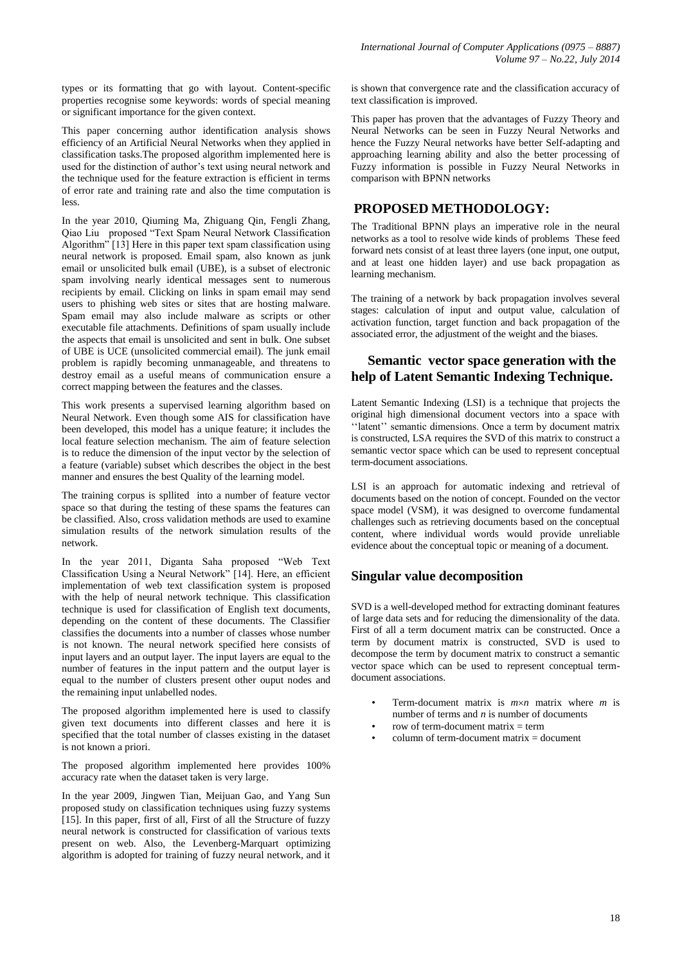types or its formatting that go with layout. Content-specific properties recognise some keywords: words of special meaning or significant importance for the given context.

This paper concerning author identification analysis shows efficiency of an Artificial Neural Networks when they applied in classification tasks.The proposed algorithm implemented here is used for the distinction of author's text using neural network and the technique used for the feature extraction is efficient in terms of error rate and training rate and also the time computation is less.

In the year 2010, Qiuming Ma, Zhiguang Qin, Fengli Zhang, Qiao Liu proposed "Text Spam Neural Network Classification Algorithm" $\left[13\right]$  Here in this paper text spam classification using neural network is proposed. Email spam, also known as junk email or unsolicited bulk email (UBE), is a subset of electronic spam involving nearly identical messages sent to numerous recipients by email. Clicking on links in spam email may send users to phishing web sites or sites that are hosting malware. Spam email may also include malware as scripts or other executable file attachments. Definitions of spam usually include the aspects that email is unsolicited and sent in bulk. One subset of UBE is UCE (unsolicited commercial email). The junk email problem is rapidly becoming unmanageable, and threatens to destroy email as a useful means of communication ensure a correct mapping between the features and the classes.

This work presents a supervised learning algorithm based on Neural Network. Even though some AIS for classification have been developed, this model has a unique feature; it includes the local feature selection mechanism. The aim of feature selection is to reduce the dimension of the input vector by the selection of a feature (variable) subset which describes the object in the best manner and ensures the best Quality of the learning model.

The training corpus is spllited into a number of feature vector space so that during the testing of these spams the features can be classified. Also, cross validation methods are used to examine simulation results of the network simulation results of the network.

In the year 2011, Diganta Saha proposed "Web Text Classification Using a Neural Network" [14]. Here, an efficient implementation of web text classification system is proposed with the help of neural network technique. This classification technique is used for classification of English text documents, depending on the content of these documents. The Classifier classifies the documents into a number of classes whose number is not known. The neural network specified here consists of input layers and an output layer. The input layers are equal to the number of features in the input pattern and the output layer is equal to the number of clusters present other ouput nodes and the remaining input unlabelled nodes.

The proposed algorithm implemented here is used to classify given text documents into different classes and here it is specified that the total number of classes existing in the dataset is not known a priori.

The proposed algorithm implemented here provides 100% accuracy rate when the dataset taken is very large.

In the year 2009, Jingwen Tian, Meijuan Gao, and Yang Sun proposed study on classification techniques using fuzzy systems [15]. In this paper, first of all, First of all the Structure of fuzzy neural network is constructed for classification of various texts present on web. Also, the Levenberg-Marquart optimizing algorithm is adopted for training of fuzzy neural network, and it

is shown that convergence rate and the classification accuracy of text classification is improved.

This paper has proven that the advantages of Fuzzy Theory and Neural Networks can be seen in Fuzzy Neural Networks and hence the Fuzzy Neural networks have better Self-adapting and approaching learning ability and also the better processing of Fuzzy information is possible in Fuzzy Neural Networks in comparison with BPNN networks

## **PROPOSED METHODOLOGY:**

The Traditional BPNN plays an imperative role in the neural networks as a tool to resolve wide kinds of problems These feed forward nets consist of at least three layers (one input, one output, and at least one hidden layer) and use back propagation as learning mechanism.

The training of a network by back propagation involves several stages: calculation of input and output value, calculation of activation function, target function and back propagation of the associated error, the adjustment of the weight and the biases.

## **Semantic vector space generation with the help of Latent Semantic Indexing Technique.**

Latent Semantic Indexing (LSI) is a technique that projects the original high dimensional document vectors into a space with ''latent'' semantic dimensions. Once a term by document matrix is constructed, LSA requires the SVD of this matrix to construct a semantic vector space which can be used to represent conceptual term-document associations.

LSI is an approach for automatic indexing and retrieval of documents based on the notion of concept. Founded on the vector space model (VSM), it was designed to overcome fundamental challenges such as retrieving documents based on the conceptual content, where individual words would provide unreliable evidence about the conceptual topic or meaning of a document.

### **Singular value decomposition**

SVD is a well-developed method for extracting dominant features of large data sets and for reducing the dimensionality of the data. First of all a term document matrix can be constructed. Once a term by document matrix is constructed, SVD is used to decompose the term by document matrix to construct a semantic vector space which can be used to represent conceptual termdocument associations.

- Term-document matrix is *mn* matrix where *m* is number of terms and *n* is number of documents
- row of term-document matrix = term
- $\text{column of term-document matrix} = \text{document}$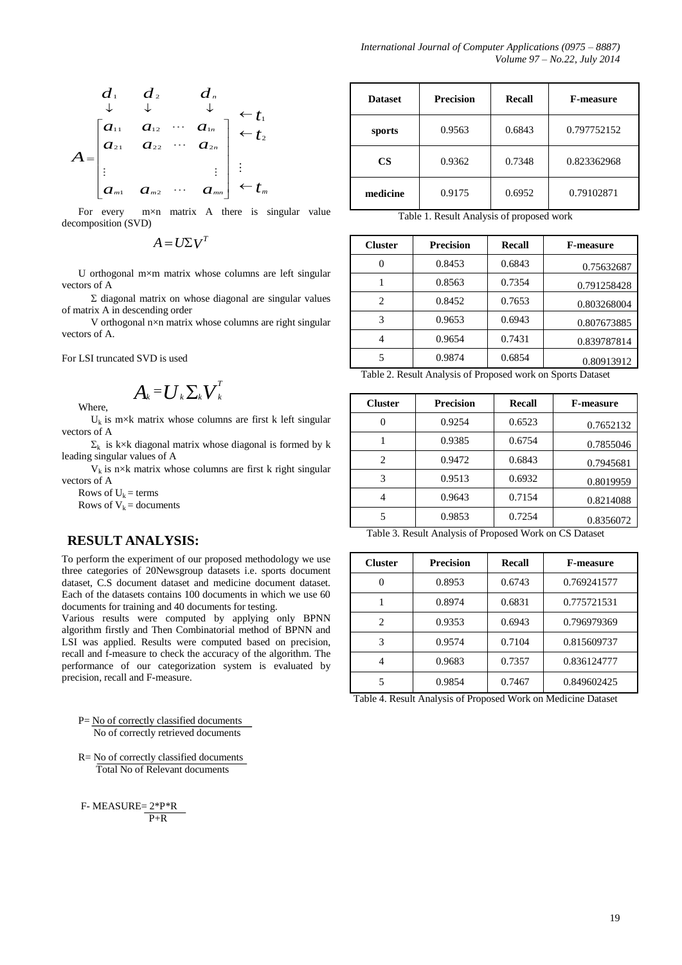$$
A = \begin{bmatrix} d_1 & d_2 & d_n \\ \downarrow & \downarrow & \downarrow \\ a_{11} & a_{12} & \cdots & a_{1n} \\ a_{21} & a_{22} & \cdots & a_{2n} \\ \vdots & & & \vdots \\ a_{m1} & a_{m2} & \cdots & a_{mn} \end{bmatrix} \begin{matrix} \leftarrow t_1 \\ \leftarrow t_2 \\ \vdots \\ \leftarrow t_m \end{matrix}
$$

For every  $m \times n$  matrix A there is singular value decomposition (SVD)

$$
A = U \Sigma V^T
$$

U orthogonal m×m matrix whose columns are left singular vectors of A

 $\Sigma$  diagonal matrix on whose diagonal are singular values of matrix A in descending order

 V orthogonal n×n matrix whose columns are right singular vectors of A.

For LSI truncated SVD is used

$$
A_{k} = U_{k} \Sigma_{k} V_{k}^{T}
$$

Where,

 $U_k$  is m×k matrix whose columns are first k left singular vectors of A

 $\Sigma_k$  is k×k diagonal matrix whose diagonal is formed by k leading singular values of A

 $V_k$  is n×k matrix whose columns are first k right singular vectors of A

Rows of  $U_k$  = terms Rows of  $V_k$  = documents

### **RESULT ANALYSIS:**

To perform the experiment of our proposed methodology we use three categories of 20Newsgroup datasets i.e. sports document dataset, C.S document dataset and medicine document dataset. Each of the datasets contains 100 documents in which we use 60 documents for training and 40 documents for testing.

Various results were computed by applying only BPNN algorithm firstly and Then Combinatorial method of BPNN and LSI was applied. Results were computed based on precision, recall and f-measure to check the accuracy of the algorithm. The performance of our categorization system is evaluated by precision, recall and F-measure.

P= No of correctly classified documents No of correctly retrieved documents

R= No of correctly classified documents Total No of Relevant documents

$$
F-MEASURE = 2*P*R
$$
  

$$
\frac{P+R}{P+R}
$$

| <b>Dataset</b> | <b>Precision</b> | <b>Recall</b> | <b>F-measure</b> |
|----------------|------------------|---------------|------------------|
| sports         | 0.9563           | 0.6843        | 0.797752152      |
| <b>CS</b>      | 0.9362           | 0.7348        | 0.823362968      |
| medicine       | 0.9175           | 0.6952        | 0.79102871       |

Table 1. Result Analysis of proposed work

| <b>Cluster</b>              | <b>Precision</b> | <b>Recall</b> | <b>F-measure</b> |
|-----------------------------|------------------|---------------|------------------|
|                             | 0.8453           | 0.6843        | 0.75632687       |
|                             | 0.8563           | 0.7354        | 0.791258428      |
| $\mathcal{D}_{\mathcal{A}}$ | 0.8452           | 0.7653        | 0.803268004      |
| 3                           | 0.9653           | 0.6943        | 0.807673885      |
|                             | 0.9654           | 0.7431        | 0.839787814      |
|                             | 0.9874           | 0.6854        | 0.80913912       |

Table 2. Result Analysis of Proposed work on Sports Dataset

| <b>Cluster</b> | <b>Precision</b> | <b>Recall</b> | <b>F-measure</b> |
|----------------|------------------|---------------|------------------|
| 0              | 0.9254           | 0.6523        | 0.7652132        |
|                | 0.9385           | 0.6754        | 0.7855046        |
| 2              | 0.9472           | 0.6843        | 0.7945681        |
| 3              | 0.9513           | 0.6932        | 0.8019959        |
|                | 0.9643           | 0.7154        | 0.8214088        |
|                | 0.9853           | 0.7254        | 0.8356072        |

Table 3. Result Analysis of Proposed Work on CS Dataset

| <b>Cluster</b> | <b>Precision</b> | <b>Recall</b> | <b>F-measure</b> |
|----------------|------------------|---------------|------------------|
|                | 0.8953           | 0.6743        | 0.769241577      |
|                | 0.8974           | 0.6831        | 0.775721531      |
| 2              | 0.9353           | 0.6943        | 0.796979369      |
| 3              | 0.9574           | 0.7104        | 0.815609737      |
|                | 0.9683           | 0.7357        | 0.836124777      |
|                | 0.9854           | 0.7467        | 0.849602425      |

Table 4. Result Analysis of Proposed Work on Medicine Dataset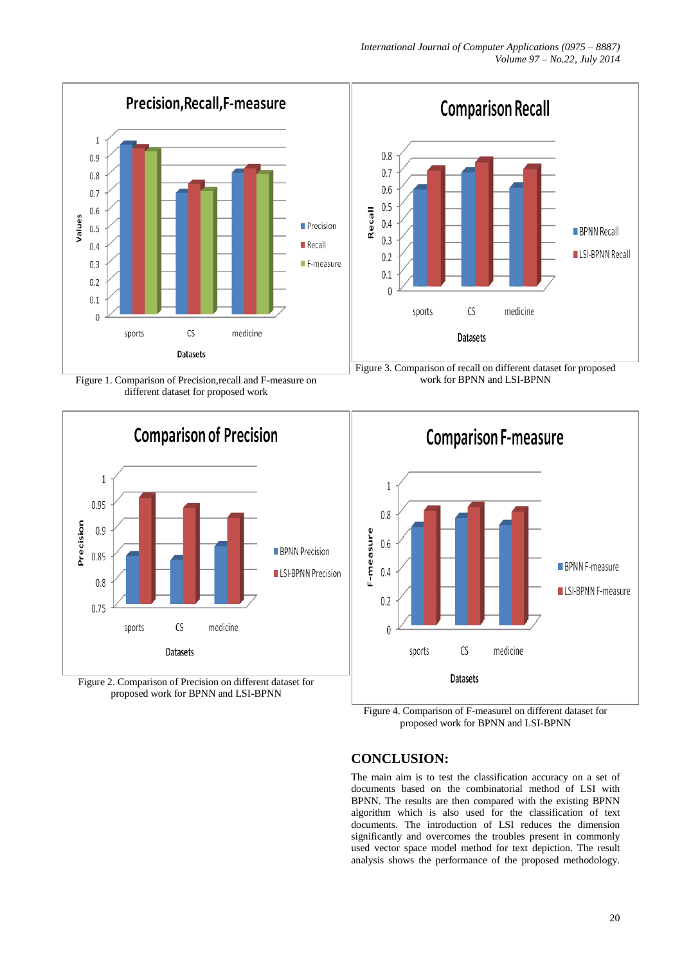

Figure 1. Comparison of Precision,recall and F-measure on different dataset for proposed work



proposed work for BPNN and LSI-BPNN







Figure 4. Comparison of F-measurel on different dataset for proposed work for BPNN and LSI-BPNN

### **CONCLUSION:**

The main aim is to test the classification accuracy on a set of documents based on the combinatorial method of LSI with BPNN. The results are then compared with the existing BPNN algorithm which is also used for the classification of text documents. The introduction of LSI reduces the dimension significantly and overcomes the troubles present in commonly used vector space model method for text depiction. The result analysis shows the performance of the proposed methodology.